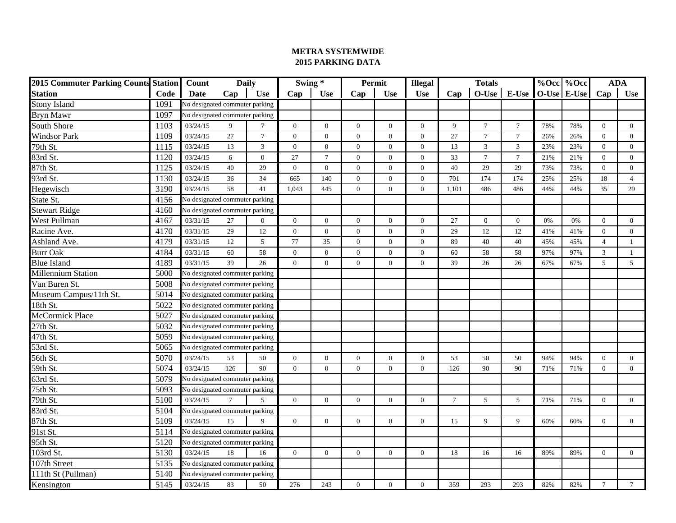| <b>2015 Commuter Parking Counts Station</b> |      | Count<br><b>Daily</b>          |     |                 | Swing*         |                | Permit         |                | <b>Illegal</b>   |                 |                |                  | %Occ %Occ | <b>ADA</b>  |                |                |
|---------------------------------------------|------|--------------------------------|-----|-----------------|----------------|----------------|----------------|----------------|------------------|-----------------|----------------|------------------|-----------|-------------|----------------|----------------|
| Station                                     | Code | Date                           | Cap | <b>Use</b>      | Cap            | <b>Use</b>     | Cap            | <b>Use</b>     | <b>Use</b>       | Cap             | <b>Totals</b>  | $O-Use$ E-Use    |           | O-Use E-Use | Cap            | <b>Use</b>     |
| <b>Stony Island</b>                         | 1091 | No designated commuter parking |     |                 |                |                |                |                |                  |                 |                |                  |           |             |                |                |
| <b>Bryn Mawr</b>                            | 1097 | No designated commuter parking |     |                 |                |                |                |                |                  |                 |                |                  |           |             |                |                |
| South Shore                                 | 1103 | 03/24/15                       | 9   | $7\phantom{.0}$ | $\overline{0}$ | $\mathbf{0}$   | $\overline{0}$ | $\overline{0}$ | $\overline{0}$   | 9               | $\overline{7}$ | $\boldsymbol{7}$ | 78%       | 78%         | $\overline{0}$ | $\overline{0}$ |
| <b>Windsor Park</b>                         | 1109 | 03/24/15                       | 27  | $7\phantom{.0}$ | $\mathbf{0}$   | $\theta$       | $\mathbf{0}$   | $\overline{0}$ | $\overline{0}$   | 27              | $\overline{7}$ | $\overline{7}$   | 26%       | 26%         | $\Omega$       | $\overline{0}$ |
| 79th St.                                    | 1115 | 03/24/15                       | 13  | 3               | $\Omega$       | $\Omega$       | $\Omega$       | $\Omega$       | $\Omega$         | 13              | 3              | $\mathfrak{Z}$   | 23%       | 23%         | $\Omega$       | $\theta$       |
| 83rd St.                                    | 1120 | 03/24/15                       | 6   | $\theta$        | 27             | $\overline{7}$ | $\theta$       | $\theta$       | $\Omega$         | 33              | $\overline{7}$ | $\tau$           | 21%       | 21%         | $\Omega$       | $\overline{0}$ |
| 87th St.                                    | 1125 | 03/24/15                       | 40  | 29              | $\theta$       | $\Omega$       | $\mathbf{0}$   | $\overline{0}$ | $\mathbf{0}$     | 40              | 29             | 29               | 73%       | 73%         | $\theta$       | $\overline{0}$ |
| 93rd St.                                    | 1130 | 03/24/15                       | 36  | 34              | 665            | 140            | $\overline{0}$ | $\overline{0}$ | $\overline{0}$   | 701             | 174            | 174              | 25%       | 25%         | 18             | $\overline{4}$ |
| Hegewisch                                   | 3190 | 03/24/15                       | 58  | 41              | 1,043          | 445            | $\theta$       | $\mathbf{0}$   | $\overline{0}$   | 1,101           | 486            | 486              | 44%       | 44%         | 35             | 29             |
| State St.                                   | 4156 | No designated commuter parking |     |                 |                |                |                |                |                  |                 |                |                  |           |             |                |                |
| <b>Stewart Ridge</b>                        | 4160 | No designated commuter parking |     |                 |                |                |                |                |                  |                 |                |                  |           |             |                |                |
| West Pullman                                | 4167 | 03/31/15                       | 27  | $\overline{0}$  | $\theta$       | $\Omega$       | $\theta$       | $\theta$       | $\Omega$         | 27              | $\theta$       | $\overline{0}$   | 0%        | 0%          | $\theta$       | $\overline{0}$ |
| Racine Ave.                                 | 4170 | 03/31/15                       | 29  | 12              | $\Omega$       | $\theta$       | $\mathbf{0}$   | $\overline{0}$ | $\overline{0}$   | 29              | 12             | 12               | 41%       | 41%         | $\Omega$       | $\overline{0}$ |
| Ashland Ave.                                | 4179 | 03/31/15                       | 12  | 5               | 77             | 35             | $\mathbf{0}$   | $\overline{0}$ | $\overline{0}$   | 89              | 40             | 40               | 45%       | 45%         | $\overline{4}$ | 1              |
| <b>Burr Oak</b>                             | 4184 | 03/31/15                       | 60  | 58              | $\Omega$       | $\Omega$       | $\mathbf{0}$   | $\overline{0}$ | $\overline{0}$   | 60              | 58             | 58               | 97%       | 97%         | 3              | 1              |
| <b>Blue Island</b>                          | 4189 | 03/31/15                       | 39  | 26              | $\overline{0}$ | $\mathbf{0}$   | $\overline{0}$ | $\overline{0}$ | $\boldsymbol{0}$ | 39              | 26             | 26               | 67%       | 67%         | 5              | $\mathfrak{S}$ |
| <b>Millennium Station</b>                   | 5000 | No designated commuter parking |     |                 |                |                |                |                |                  |                 |                |                  |           |             |                |                |
| Van Buren St.                               | 5008 | No designated commuter parking |     |                 |                |                |                |                |                  |                 |                |                  |           |             |                |                |
| Museum Campus/11th St.                      | 5014 | No designated commuter parking |     |                 |                |                |                |                |                  |                 |                |                  |           |             |                |                |
| 18th St.                                    | 5022 | No designated commuter parking |     |                 |                |                |                |                |                  |                 |                |                  |           |             |                |                |
| McCormick Place                             | 5027 | No designated commuter parking |     |                 |                |                |                |                |                  |                 |                |                  |           |             |                |                |
| $27th$ St.                                  | 5032 | No designated commuter parking |     |                 |                |                |                |                |                  |                 |                |                  |           |             |                |                |
| 47th St.                                    | 5059 | No designated commuter parking |     |                 |                |                |                |                |                  |                 |                |                  |           |             |                |                |
| 53rd St.                                    | 5065 | No designated commuter parking |     |                 |                |                |                |                |                  |                 |                |                  |           |             |                |                |
| 56th St.                                    | 5070 | 03/24/15                       | 53  | 50              | $\Omega$       | $\Omega$       | $\theta$       | $\overline{0}$ | $\overline{0}$   | 53              | 50             | 50               | 94%       | 94%         | $\theta$       | $\overline{0}$ |
| 59th St.                                    | 5074 | 03/24/15                       | 126 | 90              | $\theta$       | $\Omega$       | $\Omega$       | $\Omega$       | $\Omega$         | 126             | 90             | 90               | 71%       | 71%         | $\theta$       | $\Omega$       |
| 63rd St.                                    | 5079 | No designated commuter parking |     |                 |                |                |                |                |                  |                 |                |                  |           |             |                |                |
| 75th St.                                    | 5093 | No designated commuter parking |     |                 |                |                |                |                |                  |                 |                |                  |           |             |                |                |
| 79th St.                                    | 5100 | 03/24/15                       |     | 5               | $\Omega$       | $\mathbf{0}$   | $\overline{0}$ | $\overline{0}$ | $\overline{0}$   | $7\phantom{.0}$ | 5              | 5                | 71%       | 71%         | $\overline{0}$ | $\overline{0}$ |
| 83rd St.                                    | 5104 | No designated commuter parking |     |                 |                |                |                |                |                  |                 |                |                  |           |             |                |                |
| 87th St.                                    | 5109 | 03/24/15                       | 15  | 9               | $\theta$       | $\Omega$       | $\Omega$       | $\theta$       | $\mathbf{0}$     | 15              | 9              | 9                | 60%       | 60%         | $\Omega$       | $\overline{0}$ |
| 91st St.                                    | 5114 | No designated commuter parking |     |                 |                |                |                |                |                  |                 |                |                  |           |             |                |                |
| 95th St.                                    | 5120 | No designated commuter parking |     |                 |                |                |                |                |                  |                 |                |                  |           |             |                |                |
| 103rd St.                                   | 5130 | 03/24/15<br>18<br>16           |     |                 | $\overline{0}$ | $\mathbf{0}$   | $\overline{0}$ | $\overline{0}$ | $\overline{0}$   | 18              | 16             | 16               | 89%       | 89%         | $\overline{0}$ | $\overline{0}$ |
| 107th Street                                | 5135 | No designated commuter parking |     |                 |                |                |                |                |                  |                 |                |                  |           |             |                |                |
| 111th St (Pullman)                          | 5140 | No designated commuter parking |     |                 |                |                |                |                |                  |                 |                |                  |           |             |                |                |
| Kensington                                  | 5145 | 03/24/15                       | 83  | 50              | 276            | 243            | $\overline{0}$ | $\overline{0}$ | $\overline{0}$   | 359             | 293            | 293              | 82%       | 82%         | $\overline{7}$ | $\tau$         |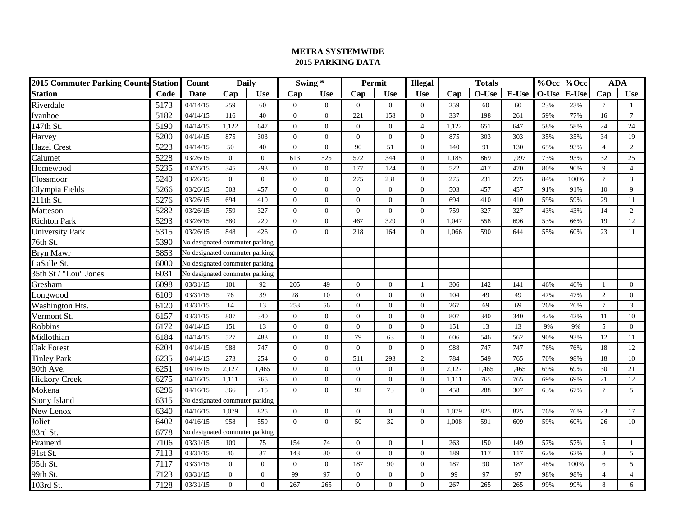| <b>2015 Commuter Parking Counts Station</b> |      | Count<br><b>Daily</b>          |                  |                | Swing *        |              | Permit         |                | <b>Illegal</b><br><b>Totals</b> |       |         |       | %Occ %Occ |       | <b>ADA</b>      |                 |
|---------------------------------------------|------|--------------------------------|------------------|----------------|----------------|--------------|----------------|----------------|---------------------------------|-------|---------|-------|-----------|-------|-----------------|-----------------|
| <b>Station</b>                              | Code | Date                           | Cap              | <b>Use</b>     | Cap            | Use          | Cap            | <b>Use</b>     | <b>Use</b>                      | Cap   | $O-Use$ | E-Use | $O-Use$   | E-Use | Cap             | <b>Use</b>      |
| Riverdale                                   | 5173 | 04/14/15                       | 259              | 60             | $\Omega$       | $\theta$     | $\overline{0}$ | $\overline{0}$ | $\overline{0}$                  | 259   | 60      | 60    | 23%       | 23%   | $7\phantom{.0}$ | 1               |
| Ivanhoe                                     | 5182 | 04/14/15                       | 116              | 40             | $\Omega$       | $\Omega$     | 221            | 158            | $\mathbf{0}$                    | 337   | 198     | 261   | 59%       | 77%   | 16              | $7\phantom{.0}$ |
| $147th$ St.                                 | 5190 | 04/14/15                       | 1,122            | 647            | $\Omega$       | $\Omega$     | $\overline{0}$ | $\overline{0}$ | $\overline{4}$                  | 1.122 | 651     | 647   | 58%       | 58%   | 24              | 24              |
| Harvey                                      | 5200 | 04/14/15                       | 875              | 303            | $\overline{0}$ | $\theta$     | $\overline{0}$ | $\overline{0}$ | $\overline{0}$                  | 875   | 303     | 303   | 35%       | 35%   | 34              | 19              |
| <b>Hazel Crest</b>                          | 5223 | 04/14/15                       | 50               | 40             | $\mathbf{0}$   | $\theta$     | 90             | 51             | $\overline{0}$                  | 140   | 91      | 130   | 65%       | 93%   | $\overline{4}$  | $\overline{2}$  |
| Calumet                                     | 5228 | 03/26/15                       | $\mathbf{0}$     | $\overline{0}$ | 613            | 525          | 572            | 344            | $\mathbf{0}$                    | 1,185 | 869     | 1,097 | 73%       | 93%   | 32              | 25              |
| Homewood                                    | 5235 | 03/26/15                       | 345              | 293            | $\Omega$       | $\Omega$     | 177            | 124            | $\Omega$                        | 522   | 417     | 470   | 80%       | 90%   | $\mathbf{Q}$    | $\overline{4}$  |
| Flossmoor                                   | 5249 | 03/26/15                       | $\overline{0}$   | $\overline{0}$ | $\Omega$       | $\Omega$     | 275            | 231            | $\overline{0}$                  | 275   | 231     | 275   | 84%       | 100%  | $\tau$          | $\mathbf{3}$    |
| Olympia Fields                              | 5266 | 03/26/15                       | 503              | 457            | $\Omega$       | $\Omega$     | $\mathbf{0}$   | $\overline{0}$ | $\overline{0}$                  | 503   | 457     | 457   | 91%       | 91%   | 10              | 9               |
| $211th$ St.                                 | 5276 | 03/26/15                       | 694              | 410            | $\Omega$       | $\Omega$     | $\Omega$       | $\theta$       | $\mathbf{0}$                    | 694   | 410     | 410   | 59%       | 59%   | 29              | 11              |
| Matteson                                    | 5282 | 03/26/15                       | 759              | 327            | $\overline{0}$ | $\Omega$     | $\overline{0}$ | $\overline{0}$ | $\overline{0}$                  | 759   | 327     | 327   | 43%       | 43%   | 14              | 2               |
| <b>Richton Park</b>                         | 5293 | 03/26/15                       | 580              | 229            | $\mathbf{0}$   | $\theta$     | 467            | 329            | $\overline{0}$                  | 1,047 | 558     | 696   | 53%       | 66%   | 19              | 12              |
| <b>University Park</b>                      | 5315 | 03/26/15                       | 848              | 426            | $\Omega$       | $\Omega$     | 218            | 164            | $\overline{0}$                  | 1,066 | 590     | 644   | 55%       | 60%   | 23              | 11              |
| 76th St.                                    | 5390 | No designated commuter parking |                  |                |                |              |                |                |                                 |       |         |       |           |       |                 |                 |
| <b>Bryn Mawr</b>                            | 5853 | No designated commuter parking |                  |                |                |              |                |                |                                 |       |         |       |           |       |                 |                 |
| LaSalle St.                                 | 6000 | No designated commuter parking |                  |                |                |              |                |                |                                 |       |         |       |           |       |                 |                 |
| 35th St / "Lou" Jones                       | 6031 | No designated commuter parking |                  |                |                |              |                |                |                                 |       |         |       |           |       |                 |                 |
| Gresham                                     | 6098 | 03/31/15                       | 101              | 92             | 205            | 49           | $\overline{0}$ | $\overline{0}$ | -1                              | 306   | 142     | 141   | 46%       | 46%   | $\overline{1}$  | $\overline{0}$  |
| Longwood                                    | 6109 | 03/31/15                       | 76               | 39             | 28             | 10           | $\mathbf{0}$   | $\theta$       | $\overline{0}$                  | 104   | 49      | 49    | 47%       | 47%   | 2               | $\mathbf{0}$    |
| Washington Hts.                             | 6120 | 03/31/15                       | 14               | 13             | 253            | 56           | $\mathbf{0}$   | $\overline{0}$ | $\overline{0}$                  | 267   | 69      | 69    | 26%       | 26%   | $\overline{7}$  | $\overline{3}$  |
| Vermont St.                                 | 6157 | 03/31/15                       | 807              | 340            | $\mathbf{0}$   | $\Omega$     | $\overline{0}$ | $\mathbf{0}$   | $\mathbf{0}$                    | 807   | 340     | 340   | 42%       | 42%   | 11              | 10              |
| Robbins                                     | 6172 | 04/14/15                       | 151              | 13             | $\Omega$       | $\Omega$     | $\mathbf{0}$   | $\overline{0}$ | $\boldsymbol{0}$                | 151   | 13      | 13    | 9%        | 9%    | 5               | $\mathbf{0}$    |
| Midlothian                                  | 6184 | 04/14/15                       | 527              | 483            | $\Omega$       | $\Omega$     | 79             | 63             | $\mathbf{0}$                    | 606   | 546     | 562   | 90%       | 93%   | 12              | 11              |
| <b>Oak Forest</b>                           | 6204 | 04/14/15                       | 988              | 747            | $\Omega$       | $\Omega$     | $\overline{0}$ | $\overline{0}$ | $\overline{0}$                  | 988   | 747     | 747   | 76%       | 76%   | 18              | 12              |
| <b>Tinley Park</b>                          | 6235 | 04/14/15                       | 273              | 254            | $\overline{0}$ | $\mathbf{0}$ | 511            | 293            | $\overline{2}$                  | 784   | 549     | 765   | 70%       | 98%   | 18              | 10              |
| 80th Ave.                                   | 6251 | 04/16/15                       | 2,127            | 1,465          | $\mathbf{0}$   | $\theta$     | $\mathbf{0}$   | $\overline{0}$ | $\overline{0}$                  | 2,127 | 1,465   | 1,465 | 69%       | 69%   | 30              | 21              |
| <b>Hickory Creek</b>                        | 6275 | 04/16/15                       | 1,111            | 765            | $\mathbf{0}$   | $\theta$     | $\mathbf{0}$   | $\overline{0}$ | $\mathbf{0}$                    | 1,111 | 765     | 765   | 69%       | 69%   | 21              | 12              |
| Mokena                                      | 6296 | 04/16/15                       | 366              | 215            | $\Omega$       | $\Omega$     | 92             | 73             | $\overline{0}$                  | 458   | 288     | 307   | 63%       | 67%   | $\tau$          | $\mathfrak{S}$  |
| <b>Stony Island</b>                         | 6315 | No designated commuter parking |                  |                |                |              |                |                |                                 |       |         |       |           |       |                 |                 |
| New Lenox                                   | 6340 | 04/16/15                       | 1,079            | 825            | $\Omega$       | $\Omega$     | $\overline{0}$ | $\overline{0}$ | $\Omega$                        | 1.079 | 825     | 825   | 76%       | 76%   | 23              | 17              |
| Joliet                                      | 6402 | 04/16/15                       | 958              | 559            | $\Omega$       | $\Omega$     | 50             | 32             | $\mathbf{0}$                    | 1,008 | 591     | 609   | 59%       | 60%   | 26              | 10              |
| 83rd St.                                    | 6778 | No designated commuter parking |                  |                |                |              |                |                |                                 |       |         |       |           |       |                 |                 |
| <b>Brainerd</b>                             | 7106 | 03/31/15                       | 109              | 75             | 154            | 74           | $\theta$       | $\overline{0}$ | $\overline{1}$                  | 263   | 150     | 149   | 57%       | 57%   | 5               | 1               |
| 91st St.                                    | 7113 | 03/31/15                       | 46               | 37             | 143            | 80           | $\overline{0}$ | $\overline{0}$ | $\overline{0}$                  | 189   | 117     | 117   | 62%       | 62%   | 8               | $\mathfrak{S}$  |
| 95th St.                                    | 7117 | 03/31/15                       | $\overline{0}$   | $\overline{0}$ | $\Omega$       | $\Omega$     | 187            | 90             | $\overline{0}$                  | 187   | 90      | 187   | 48%       | 100%  | 6               | $5\,$           |
| 99th St.                                    | 7123 | 03/31/15                       | $\boldsymbol{0}$ | $\overline{0}$ | 99             | 97           | $\theta$       | $\theta$       | $\Omega$                        | 99    | 97      | 97    | 98%       | 98%   | $\overline{4}$  | $\overline{4}$  |
| 103rd St.                                   | 7128 | 03/31/15                       | $\overline{0}$   | $\overline{0}$ | 267            | 265          | $\theta$       | $\Omega$       | $\Omega$                        | 267   | 265     | 265   | 99%       | 99%   | 8               | 6               |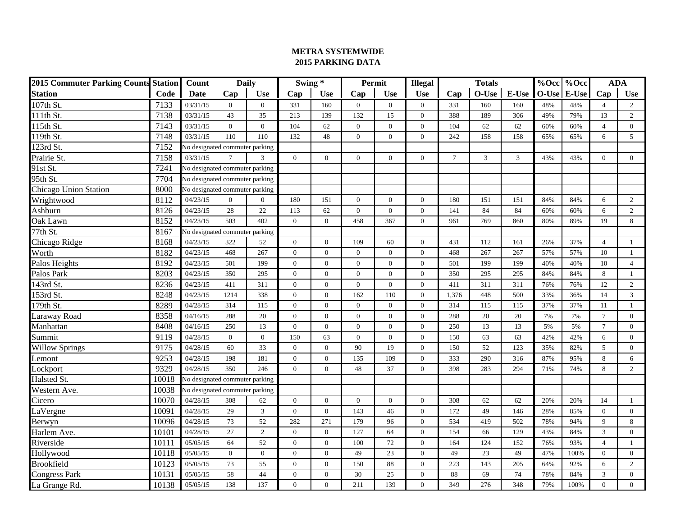| <b>2015 Commuter Parking Counts Station</b> |       | Count                          | <b>Daily</b>     |                | Swing*           |                  | Permit           |                | <b>Illegal</b> |        | <b>Totals</b>  |                |       | %Occ %Occ |                 | <b>ADA</b>       |
|---------------------------------------------|-------|--------------------------------|------------------|----------------|------------------|------------------|------------------|----------------|----------------|--------|----------------|----------------|-------|-----------|-----------------|------------------|
| <b>Station</b>                              | Code  | Date                           | Cap              | <b>Use</b>     | Cap              | Use              | Cap              | <b>Use</b>     | <b>Use</b>     | Cap    | O-Use          | E-Use          | O-Use | E-Use     | Cap             | <b>Use</b>       |
| 107th St.                                   | 7133  | 03/31/15                       | $\overline{0}$   | $\mathbf{0}$   | 331              | 160              | $\overline{0}$   | $\overline{0}$ | $\overline{0}$ | 331    | 160            | 160            | 48%   | 48%       | $\overline{4}$  | 2                |
| 111th St.                                   | 7138  | 03/31/15                       | 43               | 35             | 213              | 139              | 132              | 15             | $\Omega$       | 388    | 189            | 306            | 49%   | 79%       | 13              | $\overline{2}$   |
| $115th$ St.                                 | 7143  | 03/31/15                       | $\boldsymbol{0}$ | $\overline{0}$ | 104              | 62               | $\boldsymbol{0}$ | $\overline{0}$ | $\overline{0}$ | 104    | 62             | 62             | 60%   | 60%       | $\overline{4}$  | $\boldsymbol{0}$ |
| 119th St.                                   | 7148  | 03/31/15                       | 110              | 110            | 132              | 48               | $\overline{0}$   | $\Omega$       | $\theta$       | 242    | 158            | 158            | 65%   | 65%       | 6               | 5 <sup>5</sup>   |
| 123rd St.                                   | 7152  | No designated commuter parking |                  |                |                  |                  |                  |                |                |        |                |                |       |           |                 |                  |
| Prairie St.                                 | 7158  | 03/31/15                       | $\tau$           | 3              | $\overline{0}$   | $\overline{0}$   | $\overline{0}$   | $\Omega$       | $\theta$       | $\tau$ | $\mathfrak{Z}$ | $\mathfrak{Z}$ | 43%   | 43%       | $\Omega$        | $\overline{0}$   |
| $\overline{9}$ 1st St.                      | 7241  | No designated commuter parking |                  |                |                  |                  |                  |                |                |        |                |                |       |           |                 |                  |
| 95th St.                                    | 7704  | No designated commuter parking |                  |                |                  |                  |                  |                |                |        |                |                |       |           |                 |                  |
| <b>Chicago Union Station</b>                | 8000  | No designated commuter parking |                  |                |                  |                  |                  |                |                |        |                |                |       |           |                 |                  |
| Wrightwood                                  | 8112  | 04/23/15                       | $\overline{0}$   | $\overline{0}$ | 180              | 151              | $\overline{0}$   | $\Omega$       | $\theta$       | 180    | 151            | 151            | 84%   | 84%       | 6               | $\overline{2}$   |
| Ashburn                                     | 8126  | 04/23/15                       | 28               | $22\,$         | 113              | 62               | $\overline{0}$   | $\overline{0}$ | $\mathbf{0}$   | 141    | 84             | 84             | 60%   | 60%       | 6               | $\overline{2}$   |
| Oak Lawn                                    | 8152  | 04/23/15                       | 503              | 402            | $\overline{0}$   | $\overline{0}$   | 458              | 367            | $\theta$       | 961    | 769            | 860            | 80%   | 89%       | 19              | 8                |
| 77th St.                                    | 8167  | No designated commuter parking |                  |                |                  |                  |                  |                |                |        |                |                |       |           |                 |                  |
| Chicago Ridge                               | 8168  | 04/23/15                       | 322              | 52             | $\overline{0}$   | $\overline{0}$   | 109              | 60             | $\theta$       | 431    | 112            | 161            | 26%   | 37%       | $\overline{4}$  | $\mathbf{1}$     |
| Worth                                       | 8182  | 04/23/15                       | 468              | 267            | $\mathbf{0}$     | $\overline{0}$   | $\overline{0}$   | $\mathbf{0}$   | $\mathbf{0}$   | 468    | 267            | 267            | 57%   | 57%       | 10              | $\mathbf{1}$     |
| Palos Heights                               | 8192  | 04/23/15                       | 501              | 199            | $\mathbf{0}$     | $\overline{0}$   | $\overline{0}$   | $\Omega$       | $\mathbf{0}$   | 501    | 199            | 199            | 40%   | 40%       | 10              | $\overline{4}$   |
| Palos Park                                  | 8203  | 04/23/15                       | 350              | 295            | $\mathbf{0}$     | $\boldsymbol{0}$ | $\mathbf{0}$     | $\mathbf{0}$   | $\overline{0}$ | 350    | 295            | 295            | 84%   | 84%       | 8               | $\mathbf{1}$     |
| $143rd$ St.                                 | 8236  | 04/23/15                       | 411              | 311            | $\overline{0}$   | $\overline{0}$   | $\theta$         | $\Omega$       | $\Omega$       | 411    | 311            | 311            | 76%   | 76%       | 12              | $\overline{c}$   |
| 153rd St.                                   | 8248  | 04/23/15                       | 1214             | 338            | $\mathbf{0}$     | $\overline{0}$   | 162              | 110            | $\Omega$       | 1,376  | 448            | 500            | 33%   | 36%       | 14              | $\mathfrak{Z}$   |
| 179th St.                                   | 8289  | 04/28/15                       | 314              | 115            | $\mathbf{0}$     | $\overline{0}$   | $\overline{0}$   | $\Omega$       | $\Omega$       | 314    | 115            | 115            | 37%   | 37%       | 11              | $\mathbf{1}$     |
| Laraway Road                                | 8358  | 04/16/15                       | 288              | $20\,$         | $\boldsymbol{0}$ | $\boldsymbol{0}$ | $\overline{0}$   | $\mathbf{0}$   | $\overline{0}$ | 288    | 20             | 20             | 7%    | 7%        | $\overline{7}$  | $\overline{0}$   |
| Manhattan                                   | 8408  | 04/16/15                       | 250              | 13             | $\mathbf{0}$     | $\overline{0}$   | $\overline{0}$   | $\mathbf{0}$   | $\Omega$       | 250    | 13             | 13             | 5%    | 5%        | $7\phantom{.0}$ | $\overline{0}$   |
| Summit                                      | 9119  | 04/28/15                       | $\mathbf{0}$     | $\mathbf{0}$   | 150              | 63               | $\mathbf{0}$     | $\overline{0}$ | $\mathbf{0}$   | 150    | 63             | 63             | 42%   | 42%       | 6               | $\overline{0}$   |
| <b>Willow Springs</b>                       | 9175  | 04/28/15                       | 60               | 33             | $\mathbf{0}$     | $\overline{0}$   | 90               | 19             | $\Omega$       | 150    | 52             | 123            | 35%   | 82%       | 5               | $\overline{0}$   |
| Lemont                                      | 9253  | 04/28/15                       | 198              | 181            | $\mathbf{0}$     | $\boldsymbol{0}$ | 135              | 109            | $\mathbf{0}$   | 333    | 290            | 316            | 87%   | 95%       | 8               | 6                |
| Lockport                                    | 9329  | 04/28/15                       | 350              | 246            | $\overline{0}$   | $\overline{0}$   | 48               | 37             | $\theta$       | 398    | 283            | 294            | 71%   | 74%       | 8               | $\overline{2}$   |
| Halsted St.                                 | 10018 | No designated commuter parking |                  |                |                  |                  |                  |                |                |        |                |                |       |           |                 |                  |
| Western Ave.                                | 10038 | No designated commuter parking |                  |                |                  |                  |                  |                |                |        |                |                |       |           |                 |                  |
| Cicero                                      | 10070 | 04/28/15                       | 308              | 62             | $\boldsymbol{0}$ | $\boldsymbol{0}$ | $\boldsymbol{0}$ | $\mathbf{0}$   | $\mathbf{0}$   | 308    | 62             | 62             | 20%   | 20%       | 14              | $\mathbf{1}$     |
| LaVergne                                    | 10091 | 04/28/15                       | 29               | 3              | $\mathbf{0}$     | $\overline{0}$   | 143              | 46             | $\Omega$       | 172    | 49             | 146            | 28%   | 85%       | $\Omega$        | $\overline{0}$   |
| Berwyn                                      | 10096 | 04/28/15                       | 73               | 52             | 282              | 271              | 179              | 96             | $\Omega$       | 534    | 419            | 502            | 78%   | 94%       | $\mathbf{Q}$    | 8                |
| Harlem Ave.                                 | 10101 | 04/28/15                       | 27               | $\overline{2}$ | $\mathbf{0}$     | $\overline{0}$   | 127              | 64             | $\theta$       | 154    | 66             | 129            | 43%   | 84%       | $\mathbf{3}$    | $\overline{0}$   |
| Riverside                                   | 10111 | 05/05/15                       | 64               | 52             | $\mathbf{0}$     | $\boldsymbol{0}$ | 100              | 72             | $\Omega$       | 164    | 124            | 152            | 76%   | 93%       | $\overline{A}$  |                  |
| Hollywood                                   | 10118 | 05/05/15                       | $\mathbf{0}$     | $\overline{0}$ | $\overline{0}$   | $\overline{0}$   | 49               | 23             | $\Omega$       | 49     | 23             | 49             | 47%   | 100%      | $\Omega$        | $\overline{0}$   |
| <b>Brookfield</b>                           | 10123 | 05/05/15                       | 73               | 55             | $\mathbf{0}$     | $\boldsymbol{0}$ | 150              | 88             | $\Omega$       | 223    | 143            | 205            | 64%   | 92%       | 6               | $\overline{2}$   |
| Congress Park                               | 10131 | 05/05/15                       | 58               | 44             | $\mathbf{0}$     | $\overline{0}$   | 30               | 25             | $\theta$       | 88     | 69             | 74             | 78%   | 84%       | 3               | $\overline{0}$   |
| La Grange Rd.                               | 10138 | 05/05/15                       | 138              | 137            | $\overline{0}$   | $\Omega$         | 211              | 139            | $\Omega$       | 349    | 276            | 348            | 79%   | 100%      | $\Omega$        | $\Omega$         |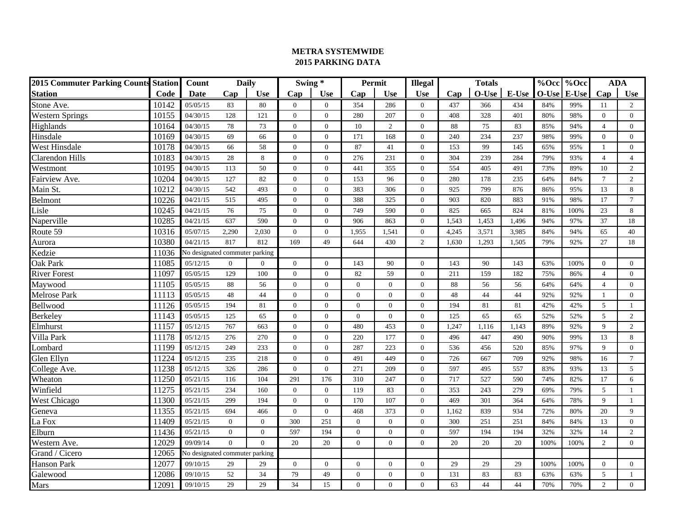| <b>2015 Commuter Parking Counts Station</b> |       | Count                          | <b>Daily</b>   |                | Swing*         |                | Permit         |                | <b>Illegal</b> |       | %Occ %Occ |       | <b>ADA</b> |       |                |                |
|---------------------------------------------|-------|--------------------------------|----------------|----------------|----------------|----------------|----------------|----------------|----------------|-------|-----------|-------|------------|-------|----------------|----------------|
| <b>Station</b>                              | Code  | Date                           | Cap            | <b>Use</b>     | Cap            | <b>Use</b>     | Cap            | <b>Use</b>     | <b>Use</b>     | Cap   | $O-Use$   | E-Use | $O-Use$    | E-Use | Cap            | <b>Use</b>     |
| Stone Ave.                                  | 10142 | 05/05/15                       | 83             | 80             | $\Omega$       | $\theta$       | 354            | 286            | $\overline{0}$ | 437   | 366       | 434   | 84%        | 99%   | 11             | 2              |
| Western Springs                             | 10155 | 04/30/15                       | 128            | 121            | $\Omega$       | $\Omega$       | 280            | 207            | $\Omega$       | 408   | 328       | 401   | 80%        | 98%   | $\theta$       | $\overline{0}$ |
| Highlands                                   | 10164 | 04/30/15                       | 78             | 73             | $\Omega$       | $\Omega$       | 10             | 2              | $\overline{0}$ | 88    | 75        | 83    | 85%        | 94%   | $\overline{4}$ | $\overline{0}$ |
| Hinsdale                                    | 10169 | 04/30/15                       | 69             | 66             | $\overline{0}$ | $\theta$       | 171            | 168            | $\overline{0}$ | 240   | 234       | 237   | 98%        | 99%   | $\overline{0}$ | $\overline{0}$ |
| West Hinsdale                               | 10178 | 04/30/15                       | 66             | 58             | $\overline{0}$ | $\theta$       | 87             | 41             | $\overline{0}$ | 153   | 99        | 145   | 65%        | 95%   |                | $\overline{0}$ |
| Clarendon Hills                             | 10183 | 04/30/15                       | 28             | 8              | $\Omega$       | $\theta$       | 276            | 231            | $\mathbf{0}$   | 304   | 239       | 284   | 79%        | 93%   | $\overline{4}$ | $\overline{4}$ |
| Westmont                                    | 10195 | 04/30/15                       | 113            | 50             | $\Omega$       | $\Omega$       | 441            | 355            | $\Omega$       | 554   | 405       | 491   | 73%        | 89%   | 10             | 2              |
| Fairview Ave.                               | 10204 | 04/30/15                       | 127            | 82             | $\Omega$       | $\Omega$       | 153            | 96             | $\Omega$       | 280   | 178       | 235   | 64%        | 84%   | $\tau$         | 2              |
| Main St.                                    | 10212 | 04/30/15                       | 542            | 493            | $\Omega$       | $\Omega$       | 383            | 306            | $\Omega$       | 925   | 799       | 876   | 86%        | 95%   | 13             | 8              |
| Belmont                                     | 10226 | 04/21/15                       | 515            | 495            | $\Omega$       | $\Omega$       | 388            | 325            | $\Omega$       | 903   | 820       | 883   | 91%        | 98%   | 17             | $\overline{7}$ |
| Lisle                                       | 10245 | 04/21/15                       | 76             | 75             | $\Omega$       | $\Omega$       | 749            | 590            | $\overline{0}$ | 825   | 665       | 824   | 81%        | 100%  | 23             | 8              |
| Naperville                                  | 10285 | 04/21/15                       | 637            | 590            | $\Omega$       | $\Omega$       | 906            | 863            | $\overline{0}$ | 1,543 | 1,453     | 1,496 | 94%        | 97%   | 37             | 18             |
| Route 59                                    | 10316 | 05/07/15                       | 2,290          | 2,030          | $\Omega$       | $\Omega$       | 1,955          | 1,541          | $\overline{0}$ | 4,245 | 3,571     | 3,985 | 84%        | 94%   | 65             | 40             |
| Aurora                                      | 10380 | 04/21/15                       | 817            | 812            | 169            | 49             | 644            | 430            | $\overline{c}$ | 1,630 | 1,293     | 1,505 | 79%        | 92%   | 27             | 18             |
| Kedzie                                      | 11036 | No designated commuter parking |                |                |                |                |                |                |                |       |           |       |            |       |                |                |
| <b>Oak Park</b>                             | 11085 | 05/12/15                       | $\overline{0}$ | $\overline{0}$ | $\Omega$       | $\Omega$       | 143            | 90             | $\Omega$       | 143   | 90        | 143   | 63%        | 100%  | $\theta$       | $\overline{0}$ |
| <b>River Forest</b>                         | 11097 | 05/05/15                       | 129            | 100            | $\Omega$       | $\Omega$       | 82             | 59             | $\Omega$       | 211   | 159       | 182   | 75%        | 86%   | $\overline{4}$ | $\overline{0}$ |
| Maywood                                     | 11105 | 05/05/15                       | 88             | 56             | $\Omega$       | $\theta$       | $\theta$       | $\theta$       | $\overline{0}$ | 88    | 56        | 56    | 64%        | 64%   | $\overline{4}$ | $\overline{0}$ |
| Melrose Park                                | 11113 | 05/05/15                       | 48             | 44             | $\Omega$       | $\Omega$       | $\theta$       | $\theta$       | $\Omega$       | 48    | 44        | 44    | 92%        | 92%   | $\overline{1}$ | $\mathbf{0}$   |
| Bellwood                                    | 11126 | 05/05/15                       | 194            | 81             | $\mathbf{0}$   | $\theta$       | $\mathbf{0}$   | $\theta$       | $\overline{0}$ | 194   | 81        | 81    | 42%        | 42%   | 5              | $\mathbf{1}$   |
| <b>Berkeley</b>                             | 11143 | 05/05/15                       | 125            | 65             | $\mathbf{0}$   | $\Omega$       | $\overline{0}$ | $\overline{0}$ | $\mathbf{0}$   | 125   | 65        | 65    | 52%        | 52%   | $\overline{5}$ | 2              |
| Elmhurst                                    | 11157 | 05/12/15                       | 767            | 663            | $\Omega$       | $\Omega$       | 480            | 453            | $\Omega$       | 1,247 | 1,116     | 1,143 | 89%        | 92%   | $\mathbf Q$    | $\overline{2}$ |
| Villa Park                                  | 11178 | 05/12/15                       | 276            | 270            | $\Omega$       | $\Omega$       | 220            | 177            | $\Omega$       | 496   | 447       | 490   | 90%        | 99%   | 13             | 8              |
| Lombard                                     | 11199 | 05/12/15                       | 249            | 233            | $\Omega$       | $\Omega$       | 287            | 223            | $\overline{0}$ | 536   | 456       | 520   | 85%        | 97%   | $\mathbf{Q}$   | $\overline{0}$ |
| Glen Ellyn                                  | 11224 | 05/12/15                       | 235            | 218            | $\Omega$       | $\Omega$       | 491            | 449            | $\overline{0}$ | 726   | 667       | 709   | 92%        | 98%   | 16             | $\overline{7}$ |
| College Ave.                                | 11238 | 05/12/15                       | 326            | 286            | $\mathbf{0}$   | $\overline{0}$ | 271            | 209            | $\overline{0}$ | 597   | 495       | 557   | 83%        | 93%   | 13             | $\mathfrak{S}$ |
| Wheaton                                     | 11250 | 05/21/15                       | 116            | 104            | 291            | 176            | 310            | 247            | $\mathbf{0}$   | 717   | 527       | 590   | 74%        | 82%   | 17             | 6              |
| Winfield                                    | 11275 | 05/21/15                       | 234            | 160            | $\mathbf{0}$   | $\mathbf{0}$   | 119            | 83             | $\overline{0}$ | 353   | 243       | 279   | 69%        | 79%   | 5              | $\mathbf{1}$   |
| West Chicago                                | 11300 | 05/21/15                       | 299            | 194            | $\Omega$       | $\Omega$       | 170            | 107            | $\Omega$       | 469   | 301       | 364   | 64%        | 78%   | $\mathbf{Q}$   | $\mathbf{1}$   |
| Geneva                                      | 11355 | 05/21/15                       | 694            | 466            | $\Omega$       | $\Omega$       | 468            | 373            | $\Omega$       | 1.162 | 839       | 934   | 72%        | 80%   | 20             | 9              |
| La Fox                                      | 11409 | 05/21/15                       | $\overline{0}$ | $\Omega$       | 300            | 251            | $\theta$       | $\theta$       | $\mathbf{0}$   | 300   | 251       | 251   | 84%        | 84%   | 13             | $\overline{0}$ |
| Elburn                                      | 11436 | 05/21/15                       | $\overline{0}$ | $\overline{0}$ | 597            | 194            | $\mathbf{0}$   | $\overline{0}$ | $\mathbf{0}$   | 597   | 194       | 194   | 32%        | 32%   | 14             | 2              |
| Western Ave.                                | 12029 | 09/09/14                       | $\overline{0}$ | $\overline{0}$ | 20             | 20             | $\theta$       | $\theta$       | $\overline{0}$ | 20    | 20        | 20    | 100%       | 100%  | $\overline{2}$ | $\overline{0}$ |
| Grand / Cicero                              | 12065 | No designated commuter parking |                |                |                |                |                |                |                |       |           |       |            |       |                |                |
| <b>Hanson Park</b>                          | 12077 | 09/10/15                       | 29             | 29             | $\mathbf{0}$   | $\mathbf{0}$   | $\mathbf{0}$   | $\mathbf{0}$   | $\mathbf{0}$   | 29    | 29        | 29    | 100%       | 100%  | $\overline{0}$ | $\mathbf{0}$   |
| Galewood                                    | 12086 | 09/10/15                       | 52             | 34             | 79             | 49             | $\theta$       | $\theta$       | $\Omega$       | 131   | 83        | 83    | 63%        | 63%   | 5              | $\mathbf{1}$   |
| Mars                                        | 12091 | 09/10/15                       | 29             | 29             | 34             | 15             | $\theta$       | $\Omega$       | $\Omega$       | 63    | 44        | 44    | 70%        | 70%   | 2              | $\overline{0}$ |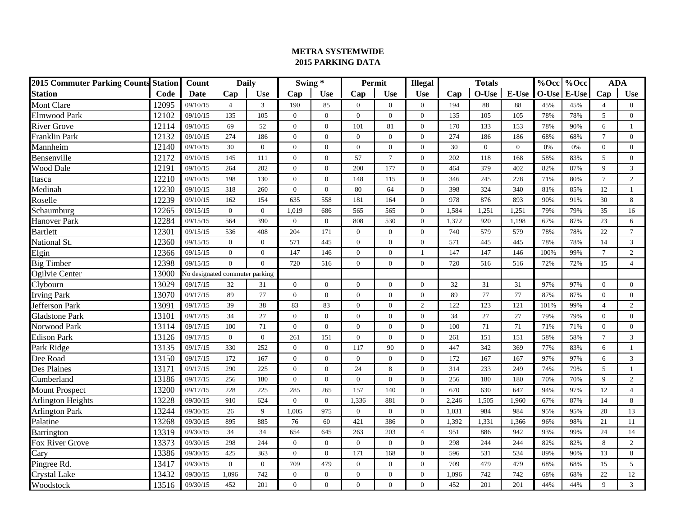| <b>2015 Commuter Parking Counts Station</b> |       | <b>Daily</b><br>Count          |                  | Swing *        |                |                | Permit         |                | <b>Totals</b><br><b>Illegal</b> |       |                |              |         | <b>ADA</b>         |                |                |
|---------------------------------------------|-------|--------------------------------|------------------|----------------|----------------|----------------|----------------|----------------|---------------------------------|-------|----------------|--------------|---------|--------------------|----------------|----------------|
| <b>Station</b>                              | Code  | Date                           | Cap              | <b>Use</b>     | Cap            | <b>Use</b>     | Cap            | <b>Use</b>     | <b>Use</b>                      | Cap   | $O-Use$        | E-Use        | $O-Use$ | %Occ %Occ<br>E-Use | Cap            | <b>Use</b>     |
| Mont Clare                                  | 12095 | 09/10/15                       | $\overline{4}$   | 3              | 190            | 85             | $\overline{0}$ | $\overline{0}$ | $\overline{0}$                  | 194   | 88             | 88           | 45%     | 45%                | $\overline{4}$ | $\overline{0}$ |
| Elmwood Park                                | 12102 | 09/10/15                       | 135              | 105            | $\Omega$       | $\Omega$       | $\theta$       | $\Omega$       | $\Omega$                        | 135   | 105            | 105          | 78%     | 78%                | 5              | $\overline{0}$ |
| River Grove                                 | 12114 | 09/10/15                       | 69               | 52             | $\overline{0}$ | $\overline{0}$ | 101            | 81             | $\overline{0}$                  | 170   | 133            | 153          | 78%     | 90%                | 6              | 1              |
| Franklin Park                               | 12132 | 09/10/15                       | 274              | 186            | $\mathbf{0}$   | $\theta$       | $\overline{0}$ | $\overline{0}$ | $\overline{0}$                  | 274   | 186            | 186          | 68%     | 68%                | $\tau$         | $\overline{0}$ |
| Mannheim                                    | 12140 | 09/10/15                       | 30               | $\overline{0}$ | $\Omega$       | $\overline{0}$ | $\mathbf{0}$   | $\mathbf{0}$   | $\overline{0}$                  | 30    | $\overline{0}$ | $\mathbf{0}$ | 0%      | 0%                 | $\Omega$       | $\overline{0}$ |
| Bensenville                                 | 12172 | 09/10/15                       | 145              | 111            | $\Omega$       | $\overline{0}$ | 57             | $\tau$         | $\mathbf{0}$                    | 202   | 118            | 168          | 58%     | 83%                | 5              | $\mathbf{0}$   |
| <b>Wood Dale</b>                            | 12191 | 09/10/15                       | 264              | 202            | $\Omega$       | $\Omega$       | 200            | 177            | $\Omega$                        | 464   | 379            | 402          | 82%     | 87%                | $\mathbf{Q}$   | $\mathfrak{Z}$ |
| Itasca                                      | 12210 | 09/10/15                       | 198              | 130            | $\Omega$       | $\Omega$       | 148            | 115            | $\Omega$                        | 346   | 245            | 278          | 71%     | 80%                | $\tau$         | $\overline{c}$ |
| Medinah                                     | 12230 | 09/10/15                       | 318              | 260            | $\Omega$       | $\Omega$       | 80             | 64             | $\Omega$                        | 398   | 324            | 340          | 81%     | 85%                | 12             | $\mathbf{1}$   |
| Roselle                                     | 12239 | 09/10/15                       | 162              | 154            | 635            | 558            | 181            | 164            | $\Omega$                        | 978   | 876            | 893          | 90%     | 91%                | 30             | 8              |
| Schaumburg                                  | 12265 | 09/15/15                       | $\mathbf{0}$     | $\overline{0}$ | 1.019          | 686            | 565            | 565            | $\overline{0}$                  | 1,584 | 1,251          | 1,251        | 79%     | 79%                | 35             | 16             |
| Hanover Park                                | 12284 | 09/15/15                       | 564              | 390            | $\overline{0}$ | $\overline{0}$ | 808            | 530            | $\overline{0}$                  | 1,372 | 920            | 1,198        | 67%     | 87%                | 23             | 6              |
| Bartlett                                    | 12301 | 09/15/15                       | 536              | 408            | 204            | 171            | $\mathbf{0}$   | $\overline{0}$ | $\mathbf{0}$                    | 740   | 579            | 579          | 78%     | 78%                | 22             | $\overline{7}$ |
| National St.                                | 12360 | 09/15/15                       | $\mathbf{0}$     | $\overline{0}$ | 571            | 445            | $\mathbf{0}$   | $\mathbf{0}$   | $\overline{0}$                  | 571   | 445            | 445          | 78%     | 78%                | 14             | $\mathfrak{Z}$ |
| Elgin                                       | 12366 | 09/15/15                       | $\mathbf{0}$     | $\Omega$       | 147            | 146            | $\theta$       | $\theta$       | $\mathbf{1}$                    | 147   | 147            | 146          | 100%    | 99%                | $\tau$         | 2              |
| <b>Big Timber</b>                           | 12398 | 09/15/15                       | $\Omega$         | $\theta$       | 720            | 516            | $\theta$       | $\theta$       | $\overline{0}$                  | 720   | 516            | 516          | 72%     | 72%                | 15             | $\overline{4}$ |
| Ogilvie Center                              | 13000 | No designated commuter parking |                  |                |                |                |                |                |                                 |       |                |              |         |                    |                |                |
| Clybourn                                    | 13029 | 09/17/15                       | 32               | 31             | $\mathbf{0}$   | $\overline{0}$ | $\theta$       | $\overline{0}$ | $\overline{0}$                  | 32    | 31             | 31           | 97%     | 97%                | $\theta$       | $\overline{0}$ |
| <b>Irving Park</b>                          | 13070 | 09/17/15                       | 89               | 77             | $\mathbf{0}$   | $\overline{0}$ | $\theta$       | $\theta$       | $\overline{0}$                  | 89    | 77             | 77           | 87%     | 87%                | $\theta$       | $\overline{0}$ |
| Jefferson Park                              | 13091 | 09/17/15                       | 39               | 38             | 83             | 83             | $\mathbf{0}$   | $\mathbf{0}$   | $\overline{c}$                  | 122   | 123            | 121          | 101%    | 99%                | $\overline{4}$ | 2              |
| <b>Gladstone Park</b>                       | 13101 | 09/17/15                       | 34               | 27             | $\mathbf{0}$   | $\overline{0}$ | $\overline{0}$ | $\overline{0}$ | $\mathbf{0}$                    | 34    | 27             | 27           | 79%     | 79%                | $\overline{0}$ | $\mathbf{0}$   |
| Norwood Park                                | 13114 | 09/17/15                       | 100              | 71             | $\Omega$       | $\Omega$       | $\theta$       | $\theta$       | $\Omega$                        | 100   | 71             | 71           | 71%     | 71%                | $\Omega$       | $\mathbf{0}$   |
| <b>Edison Park</b>                          | 13126 | 09/17/15                       | $\overline{0}$   | $\overline{0}$ | 261            | 151            | $\theta$       | $\Omega$       | $\Omega$                        | 261   | 151            | 151          | 58%     | 58%                | $\tau$         | 3              |
| Park Ridge                                  | 13135 | 09/17/15                       | 330              | 252            | $\Omega$       | $\Omega$       | 117            | 90             | $\overline{0}$                  | 447   | 342            | 369          | 77%     | 83%                | 6              | $\mathbf{1}$   |
| Dee Road                                    | 13150 | 09/17/15                       | 172              | 167            | $\overline{0}$ | $\theta$       | $\overline{0}$ | $\Omega$       | $\overline{0}$                  | 172   | 167            | 167          | 97%     | 97%                | 6              | $\mathfrak{Z}$ |
| <b>Des Plaines</b>                          | 13171 | 09/17/15                       | 290              | 225            | $\Omega$       | $\overline{0}$ | 24             | 8              | $\overline{0}$                  | 314   | 233            | 249          | 74%     | 79%                | 5              | $\mathbf{1}$   |
| Cumberland                                  | 13186 | 09/17/15                       | 256              | 180            | $\mathbf{0}$   | $\overline{0}$ | $\overline{0}$ | $\overline{0}$ | $\overline{0}$                  | 256   | 180            | 180          | 70%     | 70%                | 9              | 2              |
| Mount Prospect                              | 13200 | 09/17/15                       | 228              | 225            | 285            | 265            | 157            | 140            | $\overline{0}$                  | 670   | 630            | 647          | 94%     | 97%                | 12             | $\overline{4}$ |
| Arlington Heights                           | 13228 | 09/30/15                       | 910              | 624            | $\Omega$       | $\Omega$       | 1,336          | 881            | $\Omega$                        | 2.246 | 1.505          | 1.960        | 67%     | 87%                | 14             | $\,8\,$        |
| <b>Arlington Park</b>                       | 13244 | 09/30/15                       | 26               | 9              | 1.005          | 975            | $\theta$       | $\theta$       | $\Omega$                        | 1.031 | 984            | 984          | 95%     | 95%                | 20             | 13             |
| Palatine                                    | 13268 | 09/30/15                       | 895              | 885            | 76             | 60             | 421            | 386            | $\mathbf{0}$                    | 1,392 | 1,331          | 1,366        | 96%     | 98%                | 21             | 11             |
| <b>Barrington</b>                           | 13319 | 09/30/15                       | 34               | 34             | 654            | 645            | 263            | 203            | $\overline{4}$                  | 951   | 886            | 942          | 93%     | 99%                | 24             | 14             |
| Fox River Grove                             | 13373 | 09/30/15                       | 298              | 244            | $\overline{0}$ | $\overline{0}$ | $\theta$       | $\mathbf{0}$   | $\overline{0}$                  | 298   | 244            | 244          | 82%     | 82%                | 8              | 2              |
| Cary                                        | 13386 | 09/30/15                       | 425              | 363            | $\mathbf{0}$   | $\overline{0}$ | 171            | 168            | $\mathbf{0}$                    | 596   | 531            | 534          | 89%     | 90%                | 13             | $\,8\,$        |
| Pingree Rd.                                 | 13417 | 09/30/15                       | $\boldsymbol{0}$ | $\overline{0}$ | 709            | 479            | $\Omega$       | $\Omega$       | $\overline{0}$                  | 709   | 479            | 479          | 68%     | 68%                | 15             | $\mathfrak{S}$ |
| Crystal Lake                                | 13432 | 09/30/15                       | 1,096            | 742            | $\Omega$       | $\Omega$       | $\theta$       | $\theta$       | $\Omega$                        | 1,096 | 742            | 742          | 68%     | 68%                | 22             | 12             |
| Woodstock                                   | 13516 | 09/30/15                       | 452              | 201            | $\Omega$       | $\Omega$       | $\theta$       | $\Omega$       | $\Omega$                        | 452   | 201            | 201          | 44%     | 44%                | $\mathbf{Q}$   | $\mathfrak{Z}$ |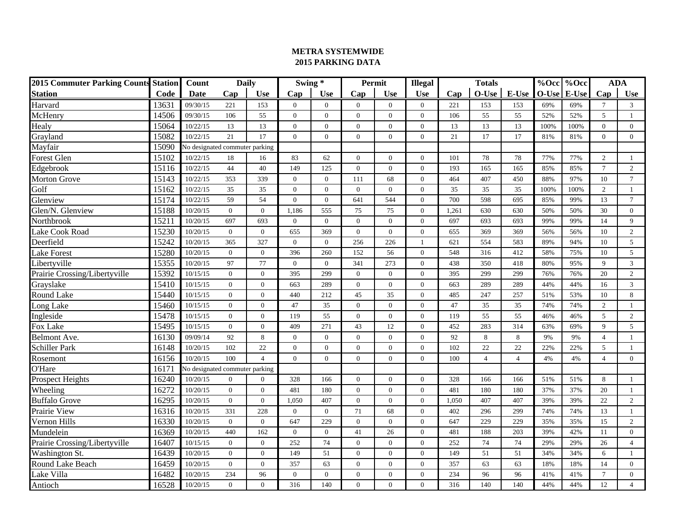| <b>2015 Commuter Parking Counts Station</b> |       | Count                          | <b>Daily</b>   |                | Swing *        |                |                | Permit         | <b>Illegal</b> | <b>Totals</b> |                |                | %Occ %Occ   | <b>ADA</b> |                |                |
|---------------------------------------------|-------|--------------------------------|----------------|----------------|----------------|----------------|----------------|----------------|----------------|---------------|----------------|----------------|-------------|------------|----------------|----------------|
| <b>Station</b>                              | Code  | Date                           | Cap            | <b>Use</b>     | Cap            | <b>Use</b>     | Cap            | <b>Use</b>     | <b>Use</b>     | Cap           | $O-Use$        | E-Use          | O-Use E-Use |            | Cap            | <b>Use</b>     |
| Harvard                                     | 13631 | 09/30/15                       | 221            | 153            | $\mathbf{0}$   | $\theta$       | $\overline{0}$ | $\overline{0}$ | $\overline{0}$ | 221           | 153            | 153            | 69%         | 69%        | $\overline{7}$ | 3              |
| McHenry                                     | 14506 | 09/30/15                       | 106            | 55             | $\Omega$       | $\theta$       | $\overline{0}$ | $\theta$       | $\overline{0}$ | 106           | 55             | 55             | 52%         | 52%        | 5              | $\mathbf{1}$   |
| Healy                                       | 15064 | 10/22/15                       | 13             | 13             | $\overline{0}$ | $\theta$       | $\mathbf{0}$   | $\overline{0}$ | $\overline{0}$ | 13            | 13             | 13             | 100%        | 100%       | $\theta$       | $\overline{0}$ |
| Grayland                                    | 15082 | 10/22/15                       | 21             | 17             | $\overline{0}$ | $\overline{0}$ | $\overline{0}$ | $\overline{0}$ | $\overline{0}$ | 21            | 17             | 17             | 81%         | 81%        | $\overline{0}$ | $\overline{0}$ |
| Mayfair                                     | 15090 | Vo designated commuter parking |                |                |                |                |                |                |                |               |                |                |             |            |                |                |
| <b>Forest Glen</b>                          | 15102 | 10/22/15                       | 18             | 16             | 83             | 62             | $\theta$       | $\theta$       | $\Omega$       | 101           | 78             | 78             | 77%         | 77%        | 2              | $\mathbf{1}$   |
| Edgebrook                                   | 15116 | 10/22/15                       | 44             | 40             | 149            | 125            | $\theta$       | $\Omega$       | $\Omega$       | 193           | 165            | 165            | 85%         | 85%        | $\tau$         | 2              |
| <b>Morton Grove</b>                         | 15143 | 10/22/15                       | 353            | 339            | $\overline{0}$ | $\overline{0}$ | 111            | 68             | $\overline{0}$ | 464           | 407            | 450            | 88%         | 97%        | 10             | $\overline{7}$ |
| Golf                                        | 15162 | 10/22/15                       | 35             | 35             | $\overline{0}$ | $\theta$       | $\overline{0}$ | $\overline{0}$ | $\overline{0}$ | 35            | 35             | 35             | 100%        | 100%       | $\overline{2}$ | $\mathbf{1}$   |
| Glenview                                    | 15174 | 10/22/15                       | 59             | 54             | $\Omega$       | $\overline{0}$ | 641            | 544            | $\overline{0}$ | 700           | 598            | 695            | 85%         | 99%        | 13             | $\overline{7}$ |
| Glen/N. Glenview                            | 15188 | 10/20/15                       | $\mathbf{0}$   | $\overline{0}$ | 1,186          | 555            | 75             | 75             | $\overline{0}$ | 1,261         | 630            | 630            | 50%         | 50%        | 30             | $\overline{0}$ |
| Northbrook                                  | 15211 | 10/20/15                       | 697            | 693            | $\Omega$       | $\Omega$       | $\Omega$       | $\Omega$       | $\Omega$       | 697           | 693            | 693            | 99%         | 99%        | 14             | $\mathbf{Q}$   |
| Lake Cook Road                              | 15230 | 10/20/15                       | $\mathbf{0}$   | $\theta$       | 655            | 369            | $\theta$       | $\theta$       | $\Omega$       | 655           | 369            | 369            | 56%         | 56%        | 10             | 2              |
| Deerfield                                   | 15242 | 10/20/15                       | 365            | 327            | $\Omega$       | $\Omega$       | 256            | 226            | $\mathbf{1}$   | 621           | 554            | 583            | 89%         | 94%        | 10             | 5              |
| <b>Lake Forest</b>                          | 15280 | 10/20/15                       | $\overline{0}$ | $\overline{0}$ | 396            | 260            | 152            | 56             | $\mathbf{0}$   | 548           | 316            | 412            | 58%         | 75%        | 10             | 5              |
| Libertyville                                | 15355 | 10/20/15                       | 97             | 77             | $\mathbf{0}$   | $\overline{0}$ | 341            | 273            | $\overline{0}$ | 438           | 350            | 418            | 80%         | 95%        | 9              | $\overline{3}$ |
| Prairie Crossing/Libertyville               | 15392 | 10/15/15                       | $\mathbf{0}$   | $\overline{0}$ | 395            | 299            | $\overline{0}$ | $\overline{0}$ | $\overline{0}$ | 395           | 299            | 299            | 76%         | 76%        | 20             | $\overline{c}$ |
| Grayslake                                   | 15410 | 10/15/15                       | $\mathbf{0}$   | $\mathbf{0}$   | 663            | 289            | $\overline{0}$ | $\overline{0}$ | $\overline{0}$ | 663           | 289            | 289            | 44%         | 44%        | 16             | $\mathfrak{Z}$ |
| Round Lake                                  | 15440 | 10/15/15                       | $\overline{0}$ | $\overline{0}$ | 440            | 212            | 45             | 35             | $\Omega$       | 485           | 247            | 257            | 51%         | 53%        | 10             | 8              |
| Long Lake                                   | 15460 | 10/15/15                       | $\overline{0}$ | $\overline{0}$ | 47             | 35             | $\theta$       | $\theta$       | $\Omega$       | 47            | 35             | 35             | 74%         | 74%        | 2              | $\mathbf{1}$   |
| Ingleside                                   | 15478 | 10/15/15                       | $\mathbf{0}$   | $\mathbf{0}$   | 119            | 55             | $\overline{0}$ | $\theta$       | $\overline{0}$ | 119           | 55             | 55             | 46%         | 46%        | 5              | $\overline{c}$ |
| Fox Lake                                    | 15495 | 10/15/15                       | $\mathbf{0}$   | $\overline{0}$ | 409            | 271            | 43             | 12             | $\mathbf{0}$   | 452           | 283            | 314            | 63%         | 69%        | $\mathbf Q$    | $\overline{5}$ |
| Belmont Ave.                                | 16130 | 09/09/14                       | 92             | 8              | $\Omega$       | $\overline{0}$ | $\overline{0}$ | $\overline{0}$ | $\mathbf{0}$   | 92            | 8              | $\,8\,$        | 9%          | 9%         | $\overline{4}$ | $\mathbf{1}$   |
| <b>Schiller Park</b>                        | 16148 | 10/20/15                       | 102            | 22             | $\Omega$       | $\Omega$       | $\theta$       | $\theta$       | $\Omega$       | 102           | 22             | $22\,$         | 22%         | 22%        | 5              | $\mathbf{1}$   |
| Rosemont                                    | 16156 | 10/20/15                       | 100            | $\overline{4}$ | $\Omega$       | $\Omega$       | $\theta$       | $\theta$       | $\Omega$       | 100           | $\overline{4}$ | $\overline{4}$ | 4%          | 4%         | $\overline{4}$ | $\Omega$       |
| O'Hare                                      | 16171 | No designated commuter parking |                |                |                |                |                |                |                |               |                |                |             |            |                |                |
| Prospect Heights                            | 16240 | 10/20/15                       | $\overline{0}$ | $\overline{0}$ | 328            | 166            | $\theta$       | $\theta$       | $\overline{0}$ | 328           | 166            | 166            | 51%         | 51%        | 8              | $\mathbf{1}$   |
| Wheeling                                    | 16272 | 10/20/15                       | $\mathbf{0}$   | $\overline{0}$ | 481            | 180            | $\overline{0}$ | $\overline{0}$ | $\overline{0}$ | 481           | 180            | 180            | 37%         | 37%        | 20             | $\mathbf{1}$   |
| <b>Buffalo</b> Grove                        | 16295 | 10/20/15                       | $\mathbf{0}$   | $\mathbf{0}$   | 1.050          | 407            | $\mathbf{0}$   | $\overline{0}$ | $\overline{0}$ | 1,050         | 407            | 407            | 39%         | 39%        | 22             | $\overline{2}$ |
| Prairie View                                | 16316 | 10/20/15                       | 331            | 228            | $\mathbf{0}$   | $\theta$       | 71             | 68             | $\overline{0}$ | 402           | 296            | 299            | 74%         | 74%        | 13             | $\mathbf{1}$   |
| Vernon Hills                                | 16330 | 10/20/15                       | $\mathbf{0}$   | $\overline{0}$ | 647            | 229            | $\theta$       | $\Omega$       | $\Omega$       | 647           | 229            | 229            | 35%         | 35%        | 15             | $\sqrt{2}$     |
| Mundelein                                   | 16369 | 10/20/15                       | 440            | 162            | $\Omega$       | $\Omega$       | 41             | 26             | $\Omega$       | 481           | 188            | 203            | 39%         | 42%        | 11             | $\overline{0}$ |
| Prairie Crossing/Libertyville               | 16407 | 10/15/15                       | $\overline{0}$ | $\overline{0}$ | 252            | 74             | $\theta$       | $\overline{0}$ | $\overline{0}$ | 252           | 74             | 74             | 29%         | 29%        | 26             | $\overline{4}$ |
| Washington St.                              | 16439 | 10/20/15                       | $\mathbf{0}$   | $\overline{0}$ | 149            | 51             | $\overline{0}$ | $\theta$       | $\overline{0}$ | 149           | 51             | 51             | 34%         | 34%        | 6              | $\mathbf{1}$   |
| Round Lake Beach                            | 16459 | 10/20/15                       | $\mathbf{0}$   | $\mathbf{0}$   | 357            | 63             | $\mathbf{0}$   | $\overline{0}$ | $\mathbf{0}$   | 357           | 63             | 63             | 18%         | 18%        | 14             | $\mathbf{0}$   |
| Lake Villa                                  | 16482 | 10/20/15                       | 234            | 96             | $\mathbf{0}$   | $\overline{0}$ | $\mathbf{0}$   | $\overline{0}$ | $\mathbf{0}$   | 234           | 96             | 96             | 41%         | 41%        | $\overline{7}$ | $\mathbf{0}$   |
| Antioch                                     | 16528 | 10/20/15                       | $\Omega$       | $\overline{0}$ | 316            | 140            | $\theta$       | $\Omega$       | $\Omega$       | 316           | 140            | 140            | 44%         | 44%        | 12             | $\overline{4}$ |